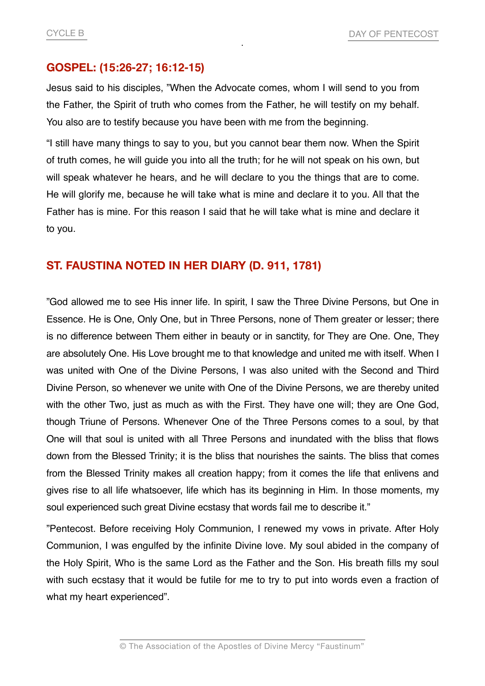## **GOSPEL: (15:26-27; 16:12-15)**

Jesus said to his disciples, "When the Advocate comes, whom I will send to you from the Father, the Spirit of truth who comes from the Father, he will testify on my behalf. You also are to testify because you have been with me from the beginning.

"I still have many things to say to you, but you cannot bear them now. When the Spirit of truth comes, he will guide you into all the truth; for he will not speak on his own, but will speak whatever he hears, and he will declare to you the things that are to come. He will glorify me, because he will take what is mine and declare it to you. All that the Father has is mine. For this reason I said that he will take what is mine and declare it to you.

## **ST. FAUSTINA NOTED IN HER DIARY (D. 911, 1781)**

"God allowed me to see His inner life. In spirit, I saw the Three Divine Persons, but One in Essence. He is One, Only One, but in Three Persons, none of Them greater or lesser; there is no difference between Them either in beauty or in sanctity, for They are One. One, They are absolutely One. His Love brought me to that knowledge and united me with itself. When I was united with One of the Divine Persons, I was also united with the Second and Third Divine Person, so whenever we unite with One of the Divine Persons, we are thereby united with the other Two, just as much as with the First. They have one will; they are One God, though Triune of Persons. Whenever One of the Three Persons comes to a soul, by that One will that soul is united with all Three Persons and inundated with the bliss that flows down from the Blessed Trinity; it is the bliss that nourishes the saints. The bliss that comes from the Blessed Trinity makes all creation happy; from it comes the life that enlivens and gives rise to all life whatsoever, life which has its beginning in Him. In those moments, my soul experienced such great Divine ecstasy that words fail me to describe it."

"Pentecost. Before receiving Holy Communion, I renewed my vows in private. After Holy Communion, I was engulfed by the infinite Divine love. My soul abided in the company of the Holy Spirit, Who is the same Lord as the Father and the Son. His breath fills my soul with such ecstasy that it would be futile for me to try to put into words even a fraction of what my heart experienced".